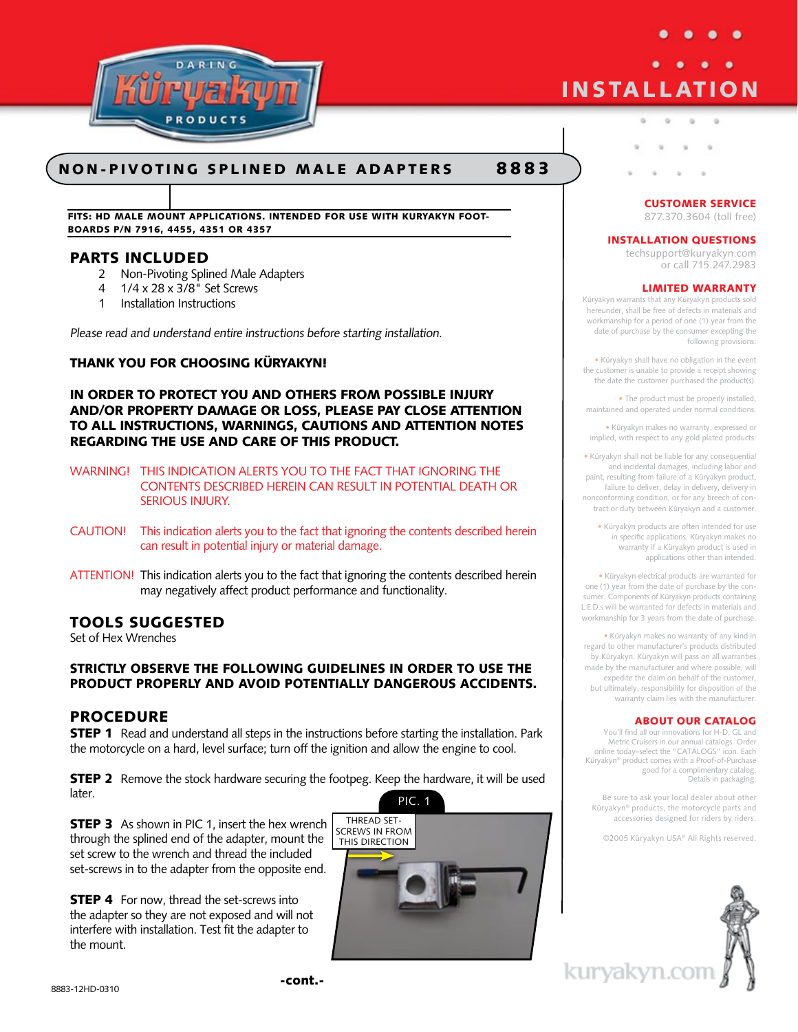

# **non - pivoting splined male adapters 8 8 8 3**

**Fits: HD male mount applications. Intended for use with kuryakyn footboards p/n 7916, 4455, 4351 or 4357**

# **PartS Included**

- 2 Non-Pivoting Splined Male Adapters
- 4 1/4 x 28 x 3/8" Set Screws
- 1 Installation Instructions

Please read and understand entire instructions before starting installation.

# **Thank you for choosing Küryakyn!**

**In order to protect you and others from possible injury and/or property damage or loss, please pay close attention to all instructions, warnings, cautions and attention notes regarding the use and care of this product.**

WARNING! THIS INDICATION ALERTS YOU TO THE FACT THAT IGNORING THE CONTENTS DESCRIBED HEREIN CAN RESULT IN POTENTIAL DEATH OR SERIOUS INJURY.

- CAUTION! This indication alerts you to the fact that ignoring the contents described herein can result in potential injury or material damage.
- ATTENTION! This indication alerts you to the fact that ignoring the contents described herein may negatively affect product performance and functionality.

## **Tools Suggested**

Set of Hex Wrenches

# **Strictly observe the following guidelines in order to use the product properly and avoid potentially dangerous accidents.**

# **Procedure**

**STEP 1** Read and understand all steps in the instructions before starting the installation. Park the motorcycle on a hard, level surface; turn off the ignition and allow the engine to cool.

**STEP 2** Remove the stock hardware securing the footpeg. Keep the hardware, it will be used later.

**STEP 3** As shown in PIC 1, insert the hex wrench through the splined end of the adapter, mount the set screw to the wrench and thread the included set-screws in to the adapter from the opposite end.

**STEP 4** For now, thread the set-screws into the adapter so they are not exposed and will not interfere with installation. Test fit the adapter to the mount.



# **INSTALLATION**

## **CUSTOMER SERVICE**

877.370.3604 (toll free)

### **INSTALLATION QUESTIONS**

techsupport@kuryakyn.com or call 715.247.2983

## **LIMITED WARRANTY**

Küryakyn warrants that any Küryakyn products sold hereunder, shall be free of defects in materials and workmanship for a period of one (1) year from the date of purchase by the consumer excepting the following provisions:

• Küryakyn shall have no obligation in the event the customer is unable to provide a receipt showing the date the customer purchased the product(s).

• The product must be properly installed. maintained and operated under normal conditions.

• Küryakyn makes no warranty, expressed or implied, with respect to any gold plated products.

• Küryakyn shall not be liable for any consequential and incidental damages, including labor and paint, resulting from failure of a Küryakyn product, failure to deliver, delay in delivery, delivery in nonconforming condition, or for any breech of contract or duty between Küryakyn and a customer.

• Küryakyn products are often intended for use in specific applications. Küryakyn makes no warranty if a Küryakyn product is used in applications other than intended.

• Küryakyn electrical products are warranted for one (1) year from the date of purchase by the consumer. Components of Küryakyn products containing L.E.D.s will be warranted for defects in materials and workmanship for 3 years from the date of purchase.

• Küryakyn makes no warranty of any kind in regard to other manufacturer's products distributed by Küryakyn. Küryakyn will pass on all warranties made by the manufacturer and where possible, will expedite the claim on behalf of the customer, but ultimately, responsibility for disposition of the warranty claim lies with the manufacturer.

## **ABOUT OUR CATALOG**

You'll find all our innovations for H-D, GL and Metric Cruisers in our annual catalogs. Order online today–select the "CATALOGS" icon. Each Küryakyn® product comes with a Proof-of-Purchase good for a complimentary catalog. Details in packaging.

Be sure to ask your local dealer about other Küryakyn® products, the motorcycle parts and accessories designed for riders by riders.

©2005 Küryakyn USA® All Rights reserved.